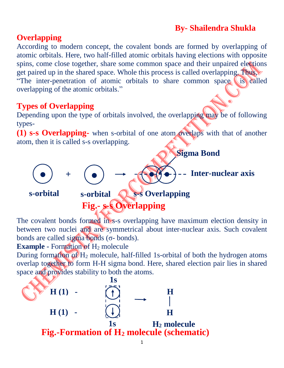# **By- Shailendra Shukla**

## **Overlapping**

According to modern concept, the covalent bonds are formed by overlapping of atomic orbitals. Here, two half-filled atomic orbitals having elections with opposite spins, come close together, share some common space and their unpaired elections get paired up in the shared space. Whole this process is called overlapping. Thus, "The inter-penetration of atomic orbitals to share common space is called overlapping of the atomic orbitals."

### **Types of Overlapping**

Depending upon the type of orbitals involved, the overlapping may be of following types-

**(1) s-s Overlapping-** when s-orbital of one atom overlaps with that of another atom, then it is called s-s overlapping.



The covalent bonds formed in s-s overlapping have maximum election density in between two nuclei and are symmetrical about inter-nuclear axis. Such covalent bonds are called sigma bonds (σ- bonds).

#### **Example -** Formation of H<sub>2</sub> molecule

During formation of  $H_2$  molecule, half-filled 1s-orbital of both the hydrogen atoms overlap together to form H-H sigma bond. Here, shared election pair lies in shared space and provides stability to both the atoms.

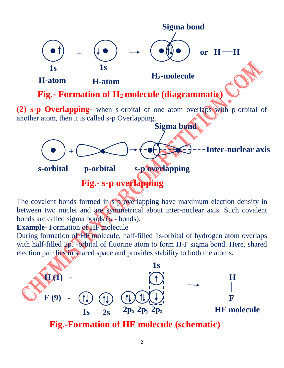

The covalent bonds formed in  $s$ -**p** overlapping have maximum election density in between two nuclei and are symmetrical about inter-nuclear axis. Such covalent bonds are called sigma bonds ( $\sigma$  - bonds).

#### **Example-** Formation of HF molecule

During formation of HF molecule, half-filled 1s-orbital of hydrogen atom overlaps with half-filled  $2p_z$  -orbital of fluorine atom to form H-F sigma bond. Here, shared election pair lies in shared space and provides stability to both the atoms.



**Fig.-Formation of HF molecule (schematic)**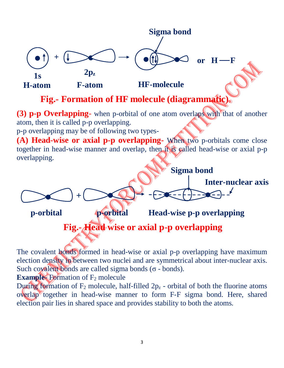

The covalent bonds formed in head-wise or axial p-p overlapping have maximum election density in between two nuclei and are symmetrical about inter-nuclear axis. Such covalent bonds are called sigma bonds ( $σ$  - bonds).

**Example-** Formation of F<sub>2</sub> molecule

During formation of  $F_2$  molecule, half-filled  $2p_z$  - orbital of both the fluorine atoms overlap together in head-wise manner to form F-F sigma bond. Here, shared election pair lies in shared space and provides stability to both the atoms.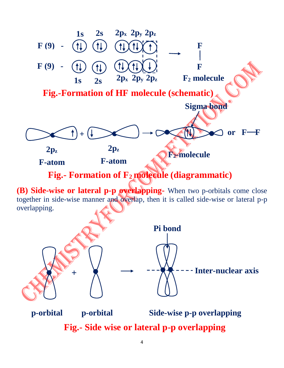

together in side-wise manner and overlap, then it is called side-wise or lateral p-p **n** overlapping.



**Fig.- Side wise or lateral p-p overlapping**

**bo**

**ig.**